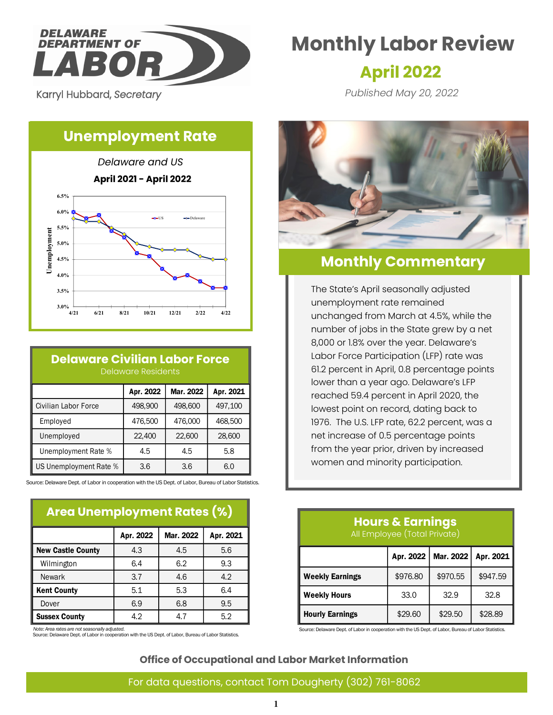

Karryl Hubbard, *Secretary* 

# **Monthly Labor Review**

## **April 2022**

*Published May 20, 2022*

## **Unemployment Rate**



## **Delaware Civilian Labor Force** Delaware Residents

|                        | Apr. 2022 | Mar. 2022 | Apr. 2021 |
|------------------------|-----------|-----------|-----------|
| Civilian Labor Force   | 498,900   | 498,600   | 497,100   |
| Employed               | 476,500   | 476,000   | 468,500   |
| Unemployed             | 22,400    | 22,600    | 28,600    |
| Unemployment Rate %    | 4.5       | 4.5       | 5.8       |
| US Unemployment Rate % | 3.6       | 3.6       | 6.0       |

Source: Delaware Dept. of Labor in cooperation with the US Dept. of Labor, Bureau of Labor Statistics.

### **Area Unemployment Rates (%)**

|                          | Apr. 2022 | Mar. 2022 | Apr. 2021 |
|--------------------------|-----------|-----------|-----------|
| <b>New Castle County</b> | 4.3       | 4.5       | 5.6       |
| Wilmington               | 6.4       | 6.2       | 9.3       |
| <b>Newark</b>            | 3.7       | 4.6       | 4.2       |
| <b>Kent County</b>       | 5.1       | 5.3       | 6.4       |
| Dover                    | 6.9       | 6.8       | 9.5       |
| <b>Sussex County</b>     | 4.2       | 47        | 5.2       |

*Note: Area rates are not seasonally adjusted.*

Source: Delaware Dept. of Labor in cooperation with the US Dept. of Labor, Bureau of Labor Statistics.



## **Monthly Commentary**

The State's April seasonally adjusted unemployment rate remained unchanged from March at 4.5%, while the number of jobs in the State grew by a net 8,000 or 1.8% over the year. Delaware's Labor Force Participation (LFP) rate was 61.2 percent in April, 0.8 percentage points lower than a year ago. Delaware's LFP reached 59.4 percent in April 2020, the lowest point on record, dating back to 1976. The U.S. LFP rate, 62.2 percent, was a net increase of 0.5 percentage points from the year prior, driven by increased women and minority participation.

### **Hours & Earnings** All Employee (Total Private)

|                        | Apr. 2022 |          | Mar. 2022   Apr. 2021 |
|------------------------|-----------|----------|-----------------------|
| <b>Weekly Earnings</b> | \$976.80  | \$970.55 | \$947.59              |
| <b>Weekly Hours</b>    | 33.0      | 32.9     | 32.8                  |
| <b>Hourly Earnings</b> | \$29.60   | \$29.50  | \$28.89               |

Source: Delaware Dept. of Labor in cooperation with the US Dept. of Labor, Bureau of Labor Statistics.

#### **Office of Occupational and Labor Market Information**

#### For data questions, contact Tom Dougherty (302) 761-8062